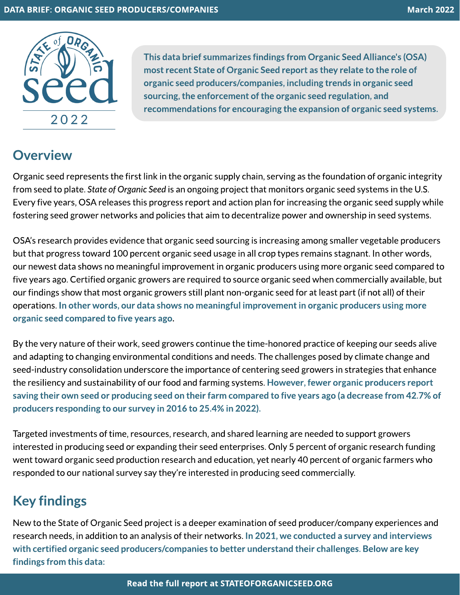

This data brief summarizes findings from Organic Seed Alliance's (OSA) most recent State of Organic Seed report as they relate to the role of organic seed producers/companies, including trendsin organic seed sourcing, the enforcement of the organic seed regulation, and recommendations for encouraging the expansion of organic seed systems.

## **Overview**

Organic seed represents the first link in the organic supply chain, serving as the foundation of organic integrity from seed to plate.**Stateof OrganicSeed**isan ongoing project that monitorsorganic seed systems in the U.S. Every five years, OSA releases this progress report and action plan for increasing the organic seed supply while fostering seed grower networks and policies that aim to decentralize power and ownership in seed systems.

OSA's research provides evidence that organic seed sourcing is increasing among smaller vegetable producers but that progress toward 100 percent organic seed usage in all crop types remains stagnant. In other words, our newest data shows no meaningful improvement in organic producers using more organic seed compared to five years ago. Certified organic growers are required to source organic seed when commercially available, but our findings show that most organic growers still plant non-organic seed for at least part (if not all) of their operations. In other words, our data shows no meaningful improvement in organic producers using more organic seed compared to five years ago.

By the very nature of their work, seed growers continue the time-honored practice of keeping our seeds alive and adapting to changing environmental conditions and needs. The challenges posed by climate change and seed-industry consolidation underscore the importance of centering seed growers in strategies that enhance the resiliency and sustainability of our food and farming systems. However, fewer organic producers report saving their own seed or producing seed on their farm compared to five years ago (a decrease from 42.7% of producers responding to our survey in 2016 to 25.4% in 2022).

Targeted investments of time, resources, research, and shared learning are needed to support growers interested in producing seed or expanding their seed enterprises.Only 5 percent of organic research funding went toward organic seed production research and education, yet nearly 40 percent of organic farmerswho responded to our national survey say they're interested in producing seed commercially.

## Key findings

New to the State of Organic Seed project is a deeper examination of seed producer/company experiences and research needs, in addition to an analysis of their networks. In 2021, we conducted a survey and interviews with certified organic seed producers/companies to better understand their challenges. Below are key findings from this data: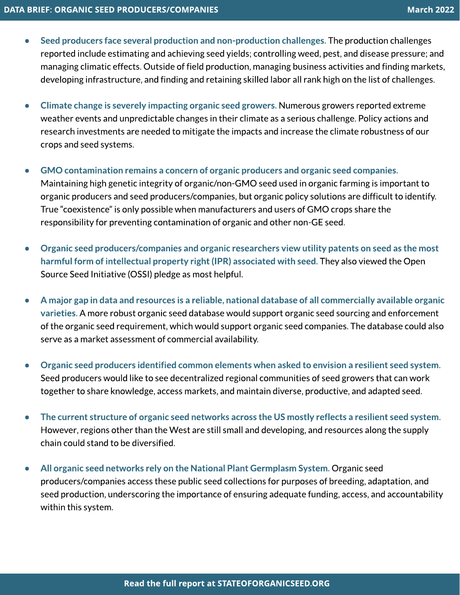- Seed producers face several production and non-production challenges. The production challenges reported include estimating and achieving seed yields; controlling weed, pest, and disease pressure; and managing climatic effects. Outside of field production, managing business activities and finding markets, developing infrastructure, and finding and retaining skilled labor all rank high on the list of challenges.
- Climate change is severely impacting organic seed growers. Numerous growers reported extreme weather events and unpredictable changes in their climate as a serious challenge. Policy actions and research investments are needed to mitigate the impacts and increase the climate robustness of our cropsand seed systems.
- GMO contamination remains a concern of organic producers and organic seed companies. Maintaining high genetic integrity of organic/non-GMO seed used in organic farming is important to organic producers and seed producers/companies, but organic policy solutions are difficult to identify. True "coexistence" is only possible when manufacturers and users of GMO crops share the responsibility for preventing contamination of organic and other non-GE seed.
- Organic seed producers/companies and organic researchers view utility patents on seed as the most harmful form of intellectual property right (IPR) associated with seed. They also viewed the Open Source Seed Initiative (OSSI) pledge as most helpful.
- A major gap in data and resources is a reliable, national database of all commercially available organic varieties. A more robust organic seed database would support organic seed sourcing and enforcement of the organic seed requirement,which would support organic seed companies.The database could also serve as a market assessment of commercial availability.
- Organic seed producers identified common elementswhen asked to envision a resilient seed system.? Seed producers would like to see decentralized regional communities of seed growers that can work together to share knowledge, access markets, and maintain diverse, productive, and adapted seed.
- The current structure of organic seed networks across the US mostly reflects a resilient seed system. However, regions other than the West are still small and developing, and resources along the supply chain could stand to be diversified.
- All organic seed networks rely on the National Plant Germplasm System. Organic seed producers/companies access these public seed collections for purposes of breeding, adaptation, and seed production, underscoring the importance of ensuring adequate funding, access, and accountability within this system.